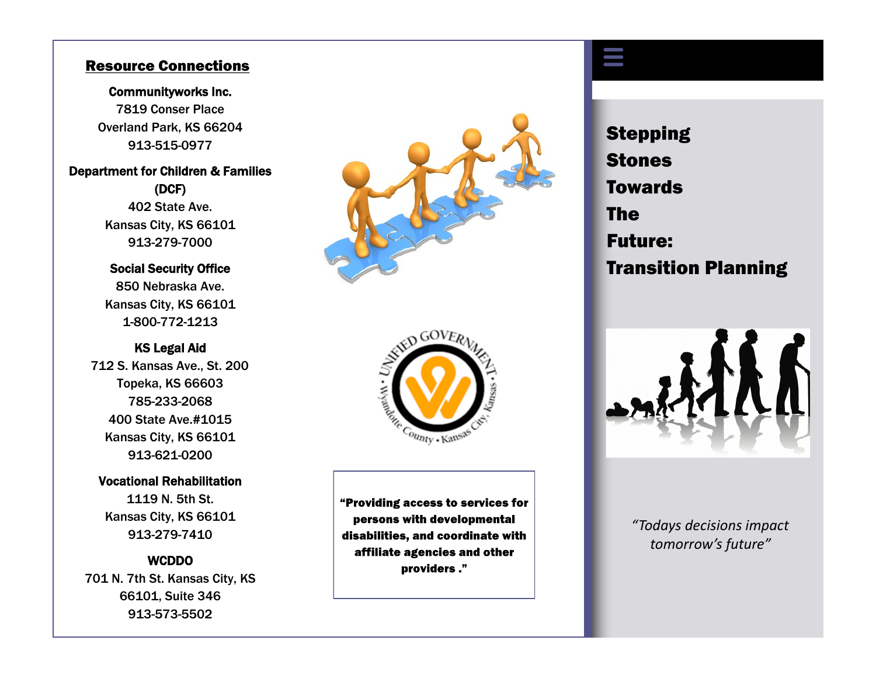## Resource Connections

## Communityworks Inc. 7819 Conser Place Overland Park, KS 66204 913 -515 -0977

## Department for Children & Families (DCF)

402 State Ave. Kansas City, KS 66101 913 -279 -7000

Social Security Office 850 Nebraska Ave. Kansas City, KS 66101 1-800-772-1213

## KS Legal Aid

712 S. Kansas Ave., St. 200 Topeka, KS 66603 785 -233 -2068 400 State Ave.#1015 Kansas City, KS 66101 913 -621 -0200

#### Vocational Rehabilitation

1119 N. 5th St. Kansas City, KS 66101 913 -279 -7410

## **WCDDO**

701 N. 7th St. Kansas City, KS 66101, Suite 346 913 -573 -5502





"Providing access to services for persons with developmental disabilities, and coordinate with affiliate agencies and other providers."

**Stepping** Stones **Towards** The Future: Transition Planning

T



 *"Todays decisions impact tomorrow's future"*